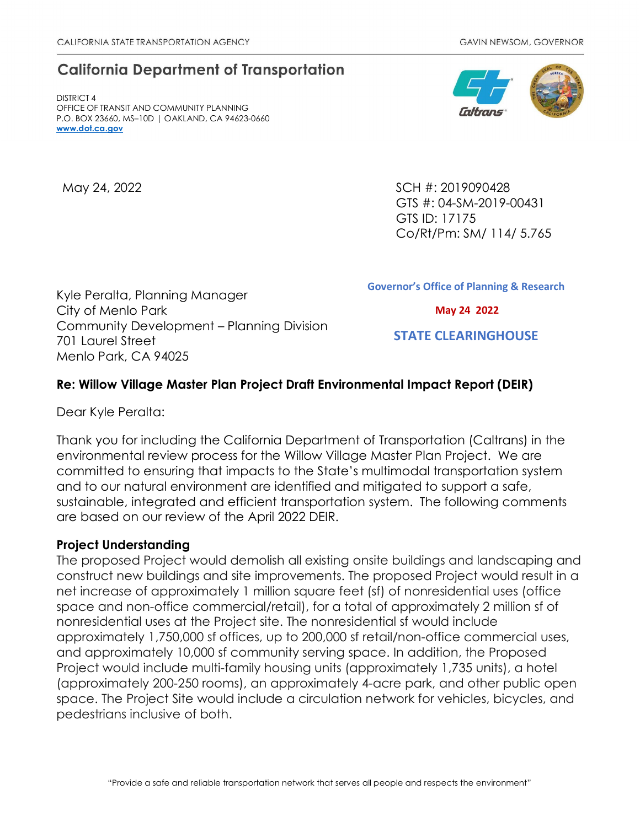# **California Department of Transportation**

DISTRICT 4 OFFICE OF TRANSIT AND COMMUNITY PLANNING P.O. BOX 23660, MS–10D | OAKLAND, CA 94623-0660 **[www.dot.ca.gov](http://www.dot.ca.gov/)**

May 24, 2022 SCH #: 2019090428 GTS #: 04-SM-2019-00431 GTS ID: 17175 Co/Rt/Pm: SM/ 114/ 5.765

Kyle Peralta, Planning Manager City of Menlo Park Community Development – Planning Division 701 Laurel Street Menlo Park, CA 94025

**Governor's Office of Planning & Research**

 **May 24 2022**

 **STATE CLEARINGHOUSE**

## **Re: Willow Village Master Plan Project Draft Environmental Impact Report (DEIR)**

Dear Kyle Peralta:

Thank you for including the California Department of Transportation (Caltrans) in the environmental review process for the Willow Village Master Plan Project. We are committed to ensuring that impacts to the State's multimodal transportation system and to our natural environment are identified and mitigated to support a safe, sustainable, integrated and efficient transportation system. The following comments are based on our review of the April 2022 DEIR.

#### **Project Understanding**

The proposed Project would demolish all existing onsite buildings and landscaping and construct new buildings and site improvements. The proposed Project would result in a net increase of approximately 1 million square feet (sf) of nonresidential uses (office space and non-office commercial/retail), for a total of approximately 2 million sf of nonresidential uses at the Project site. The nonresidential sf would include approximately 1,750,000 sf offices, up to 200,000 sf retail/non-office commercial uses, and approximately 10,000 sf community serving space. In addition, the Proposed Project would include multi-family housing units (approximately 1,735 units), a hotel (approximately 200-250 rooms), an approximately 4-acre park, and other public open space. The Project Site would include a circulation network for vehicles, bicycles, and pedestrians inclusive of both.

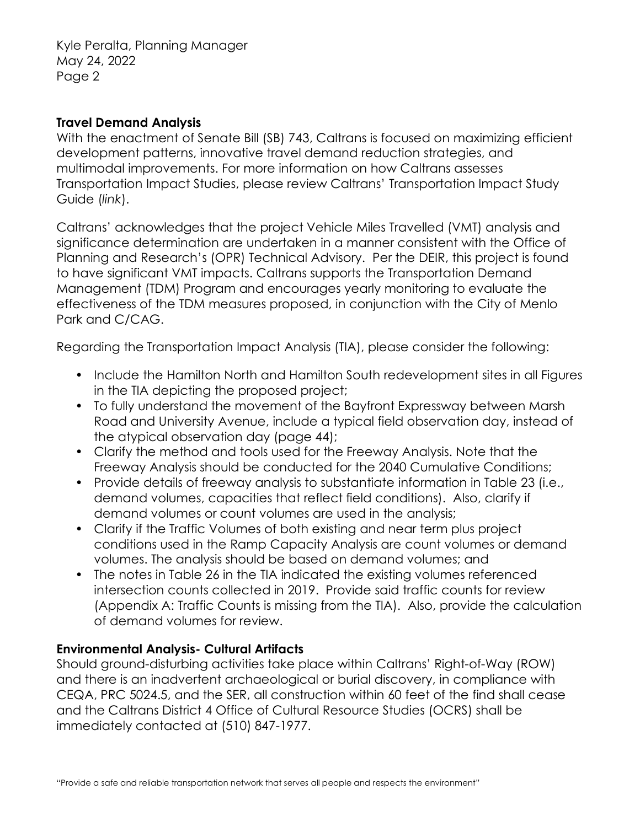Kyle Peralta, Planning Manager May 24, 2022 Page 2

#### **Travel Demand Analysis**

With the enactment of Senate Bill (SB) 743, Caltrans is focused on maximizing efficient development patterns, innovative travel demand reduction strategies, and multimodal improvements. For more information on how Caltrans assesses Transportation Impact Studies, please review Caltrans' [Transportation Impact Study](https://dot.ca.gov/-/media/dot-media/programs/transportation-planning/documents/sb-743/2020-05-20-approved-vmt-focused-tisg-a11y.pdf)  [Guide \(](https://dot.ca.gov/-/media/dot-media/programs/transportation-planning/documents/sb-743/2020-05-20-approved-vmt-focused-tisg-a11y.pdf)*[link](https://dot.ca.gov/-/media/dot-media/programs/transportation-planning/documents/sb-743/2020-05-20-approved-vmt-focused-tisg-a11y.pdf)*[\).](https://dot.ca.gov/-/media/dot-media/programs/transportation-planning/documents/sb-743/2020-05-20-approved-vmt-focused-tisg-a11y.pdf)

Caltrans' acknowledges that the project Vehicle Miles Travelled (VMT) analysis and significance determination are undertaken in a manner consistent with the Office of Planning and Research's (OPR) Technical Advisory. Per the DEIR, this project is found to have significant VMT impacts. Caltrans supports the Transportation Demand Management (TDM) Program and encourages yearly monitoring to evaluate the effectiveness of the TDM measures proposed, in conjunction with the City of Menlo Park and C/CAG.

Regarding the Transportation Impact Analysis (TIA), please consider the following:

- Include the Hamilton North and Hamilton South redevelopment sites in all Figures in the TIA depicting the proposed project;
- To fully understand the movement of the Bayfront Expressway between Marsh Road and University Avenue, include a typical field observation day, instead of the atypical observation day (page 44);
- Clarify the method and tools used for the Freeway Analysis. Note that the Freeway Analysis should be conducted for the 2040 Cumulative Conditions;
- Provide details of freeway analysis to substantiate information in Table 23 (i.e., demand volumes, capacities that reflect field conditions). Also, clarify if demand volumes or count volumes are used in the analysis;
- Clarify if the Traffic Volumes of both existing and near term plus project conditions used in the Ramp Capacity Analysis are count volumes or demand volumes. The analysis should be based on demand volumes; and
- The notes in Table 26 in the TIA indicated the existing volumes referenced intersection counts collected in 2019. Provide said traffic counts for review (Appendix A: Traffic Counts is missing from the TIA). Also, provide the calculation of demand volumes for review.

## **Environmental Analysis- Cultural Artifacts**

Should ground-disturbing activities take place within Caltrans' Right-of-Way (ROW) and there is an inadvertent archaeological or burial discovery, in compliance with CEQA, PRC 5024.5, and the SER, all construction within 60 feet of the find shall cease and the Caltrans District 4 Office of Cultural Resource Studies (OCRS) shall be immediately contacted at (510) 847-1977.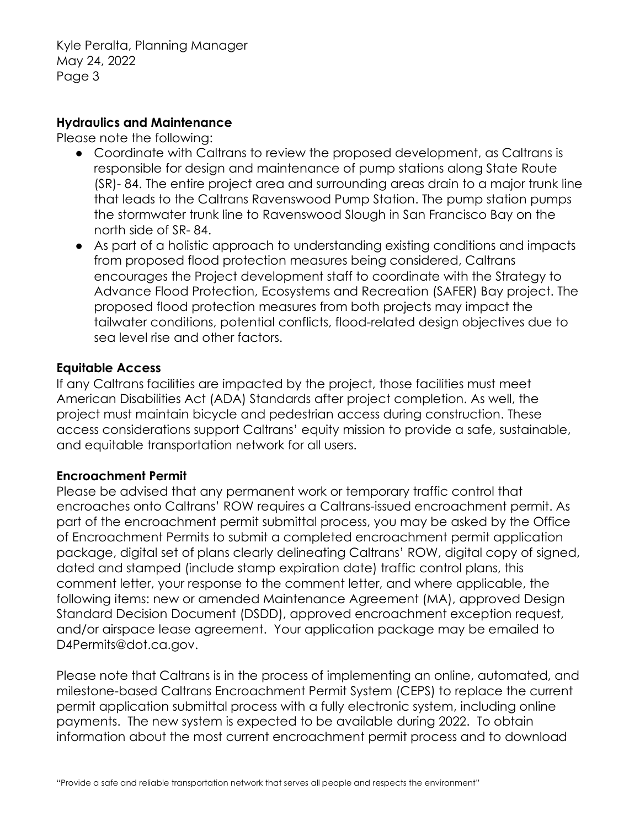Kyle Peralta, Planning Manager May 24, 2022 Page 3

#### **Hydraulics and Maintenance**

Please note the following:

- Coordinate with Caltrans to review the proposed development, as Caltrans is responsible for design and maintenance of pump stations along State Route (SR)- 84. The entire project area and surrounding areas drain to a major trunk line that leads to the Caltrans Ravenswood Pump Station. The pump station pumps the stormwater trunk line to Ravenswood Slough in San Francisco Bay on the north side of SR- 84.
- As part of a holistic approach to understanding existing conditions and impacts from proposed flood protection measures being considered, Caltrans encourages the Project development staff to coordinate with the Strategy to Advance Flood Protection, Ecosystems and Recreation (SAFER) Bay project. The proposed flood protection measures from both projects may impact the tailwater conditions, potential conflicts, flood-related design objectives due to sea level rise and other factors.

## **Equitable Access**

If any Caltrans facilities are impacted by the project, those facilities must meet American Disabilities Act (ADA) Standards after project completion. As well, the project must maintain bicycle and pedestrian access during construction. These access considerations support Caltrans' equity mission to provide a safe, sustainable, and equitable transportation network for all users.

## **Encroachment Permit**

Please be advised that any permanent work or temporary traffic control that encroaches onto Caltrans' ROW requires a Caltrans-issued encroachment permit. As part of the encroachment permit submittal process, you may be asked by the Office of Encroachment Permits to submit a completed encroachment permit application package, digital set of plans clearly delineating Caltrans' ROW, digital copy of signed, dated and stamped (include stamp expiration date) traffic control plans, this comment letter, your response to the comment letter, and where applicable, the following items: new or amended Maintenance Agreement (MA), approved Design Standard Decision Document (DSDD), approved encroachment exception request, and/or airspace lease agreement. Your application package may be emailed to D4Permits@dot.ca.gov.

Please note that Caltrans is in the process of implementing an online, automated, and milestone-based Caltrans Encroachment Permit System (CEPS) to replace the current permit application submittal process with a fully electronic system, including online payments. The new system is expected to be available during 2022. To obtain information about the most current encroachment permit process and to download